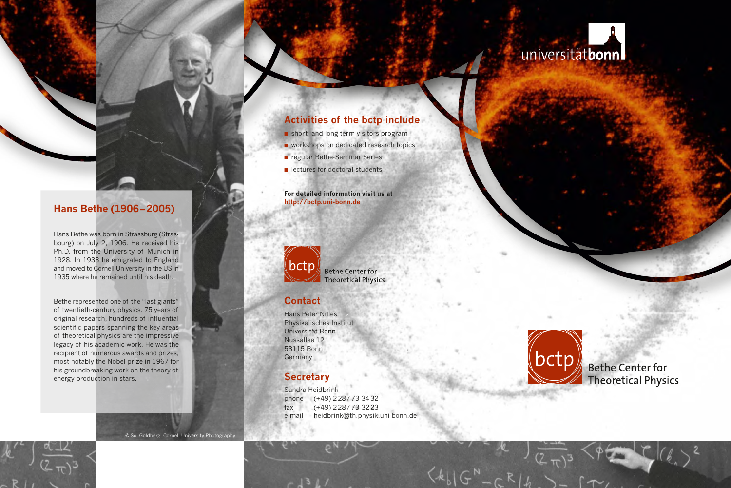# universitätbonn

## **Activities of the bctp include**

- short- and long term visitors program
- workshops on dedicated research topics
- regular Bethe-Seminar Series
- lectures for doctoral students

#### **For detailed information visit us at http://bctp.uni-bonn.de**



**Bethe Center for Theoretical Physics** 

#### **Contact**

Hans Peter Nilles Physikalisches Institut Universität Bonn Nussallee 12 53115 Bonn Germany

### **Secretary**

Sandra Heidbrink phone (+49) 2 28 / 73-34 32 fax (+49) 2 28 / 73-32 23 e-mail heidbrink@th.physik.uni-bonn.de



**Bethe Center for Theoretical Physics** 

## **Hans Bethe (1906 – 2005)**

Hans Bethe was born in Strassburg (Strasbourg) on July 2, 1906. He received his Ph.D. from the University of Munich in 1928. In 1933 he emigrated to England and moved to Cornell University in the US in 1935 where he remained until his death.

Bethe represented one of the "last giants" of twentieth-century physics. 75 years of original research, hundreds of influential scientific papers spanning the key areas of theoretical physics are the impressive legacy of his academic work. He was the recipient of numerous awards and prizes, most notably the Nobel prize in 1967 for his groundbreaking work on the theory of energy production in stars.

© Sol Goldberg, Cornell University Photography